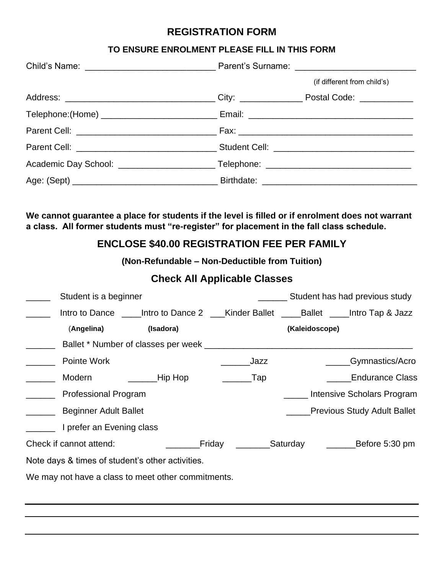### **REGISTRATION FORM**

#### **TO ENSURE ENROLMENT PLEASE FILL IN THIS FORM**

|  | (if different from child's) |  |
|--|-----------------------------|--|
|  |                             |  |
|  |                             |  |
|  |                             |  |
|  |                             |  |
|  |                             |  |
|  |                             |  |

**We cannot guarantee a place for students if the level is filled or if enrolment does not warrant a class. All former students must "re-register" for placement in the fall class schedule.**

# **ENCLOSE \$40.00 REGISTRATION FEE PER FAMILY**

**(Non-Refundable – Non-Deductible from Tuition)**

## **Check All Applicable Classes**

|                                                  | Student is a beginner        |                                                    |        |          |                | Student has had previous study                                    |
|--------------------------------------------------|------------------------------|----------------------------------------------------|--------|----------|----------------|-------------------------------------------------------------------|
|                                                  | Intro to Dance               |                                                    |        |          |                | Intro to Dance 2 ___Kinder Ballet ____Ballet ____Intro Tap & Jazz |
|                                                  | (Angelina)                   | (Isadora)                                          |        |          | (Kaleidoscope) |                                                                   |
|                                                  |                              | Ballet * Number of classes per week _              |        |          |                |                                                                   |
|                                                  | Pointe Work                  |                                                    |        | Jazz     |                | _Gymnastics/Acro                                                  |
|                                                  | Modern                       | Hip Hop                                            |        | $\_$ Tap |                | <b>Endurance Class</b>                                            |
|                                                  | <b>Professional Program</b>  |                                                    |        |          |                | Intensive Scholars Program                                        |
|                                                  | <b>Beginner Adult Ballet</b> |                                                    |        |          |                | <b>Previous Study Adult Ballet</b>                                |
|                                                  | I prefer an Evening class    |                                                    |        |          |                |                                                                   |
|                                                  | Check if cannot attend:      |                                                    | Friday |          | Saturday       | Before 5:30 pm                                                    |
| Note days & times of student's other activities. |                              |                                                    |        |          |                |                                                                   |
|                                                  |                              | We may not have a class to meet other commitments. |        |          |                |                                                                   |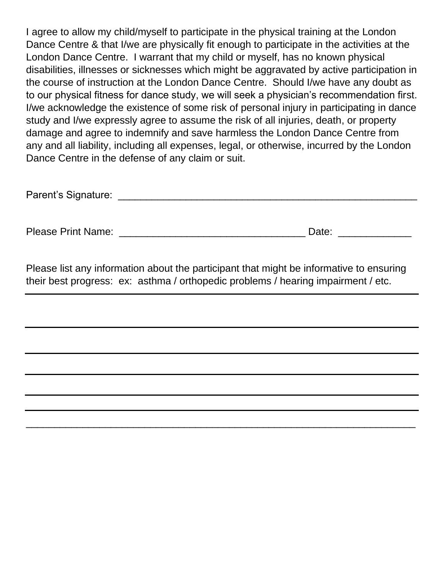I agree to allow my child/myself to participate in the physical training at the London Dance Centre & that I/we are physically fit enough to participate in the activities at the London Dance Centre. I warrant that my child or myself, has no known physical disabilities, illnesses or sicknesses which might be aggravated by active participation in the course of instruction at the London Dance Centre. Should I/we have any doubt as to our physical fitness for dance study, we will seek a physician's recommendation first. I/we acknowledge the existence of some risk of personal injury in participating in dance study and I/we expressly agree to assume the risk of all injuries, death, or property damage and agree to indemnify and save harmless the London Dance Centre from any and all liability, including all expenses, legal, or otherwise, incurred by the London Dance Centre in the defense of any claim or suit.

Please Print Name: \_\_\_\_\_\_\_\_\_\_\_\_\_\_\_\_\_\_\_\_\_\_\_\_\_\_\_\_\_\_\_\_\_ Date: \_\_\_\_\_\_\_\_\_\_\_\_\_

Please list any information about the participant that might be informative to ensuring their best progress: ex: asthma / orthopedic problems / hearing impairment / etc.

\_\_\_\_\_\_\_\_\_\_\_\_\_\_\_\_\_\_\_\_\_\_\_\_\_\_\_\_\_\_\_\_\_\_\_\_\_\_\_\_\_\_\_\_\_\_\_\_\_\_\_\_\_\_\_\_\_\_\_\_\_\_\_\_\_\_\_\_\_